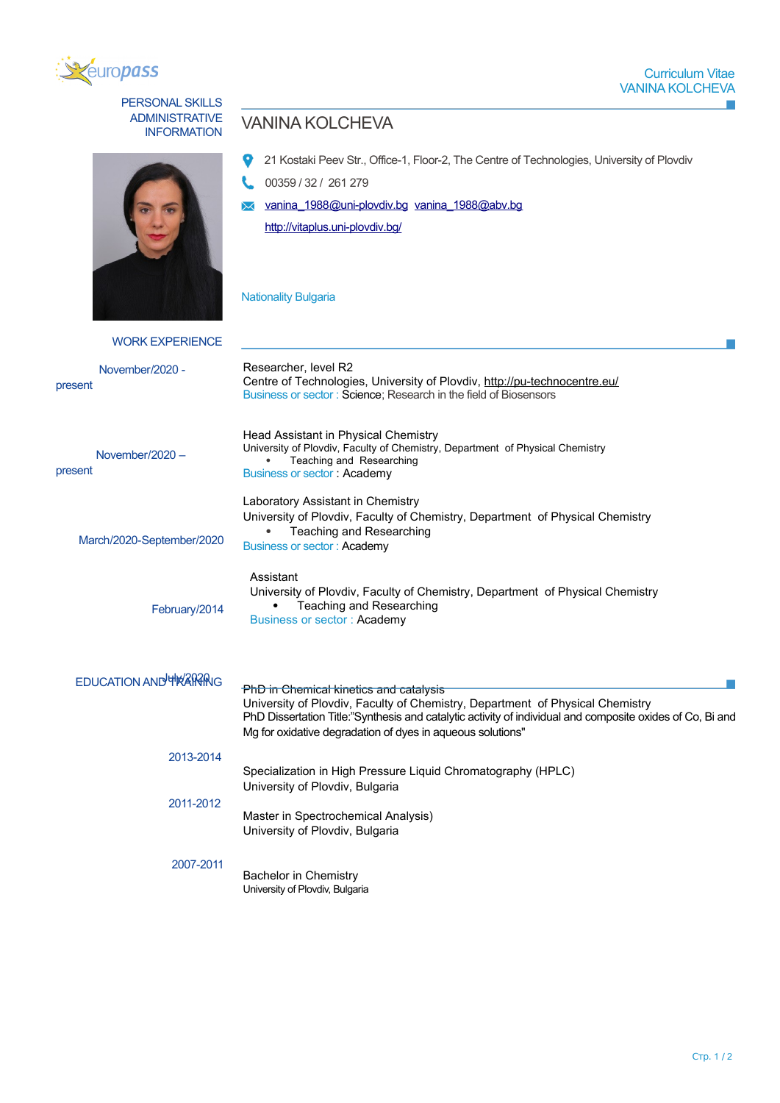

## ADMINISTRATIVE PERSONAL SKILLS



## VANINA KOLCHEVA

- <sup>2</sup> 21 Kostaki Peev Str., Office-1, Floor-2, The Centre of Technologies, University of Plovdiv
- 00359 / 32 / 261 279
- [vanina \\_1988 @uni-plovdiv.bg](mailto:vanina_1988@uni-plovdiv.bg) [vanina\\_1988@abv.bg](file:///home/webmaster/mojo/converter/data/uploads/1pe117hobw8u0gab/o_1f1n0i1c7i1vea510lp1qcp1hql1d/vanina_1988@abv.bg)

<http://vitaplus.uni-plovdiv.bg/>

Nationality Bulgaria

| <b>WORK EXPERIENCE</b>         |                                                                                                                                                                                                                                                                                                    |  |  |  |
|--------------------------------|----------------------------------------------------------------------------------------------------------------------------------------------------------------------------------------------------------------------------------------------------------------------------------------------------|--|--|--|
| November/2020 -<br>present     | Researcher, level R2<br>Centre of Technologies, University of Plovdiv, http://pu-technocentre.eu/<br>Business or sector: Science; Research in the field of Biosensors                                                                                                                              |  |  |  |
| November/2020 -<br>present     | Head Assistant in Physical Chemistry<br>University of Plovdiv, Faculty of Chemistry, Department of Physical Chemistry<br>Teaching and Researching<br><b>Business or sector: Academy</b>                                                                                                            |  |  |  |
| March/2020-September/2020      | Laboratory Assistant in Chemistry<br>University of Plovdiv, Faculty of Chemistry, Department of Physical Chemistry<br>Teaching and Researching<br><b>Business or sector: Academy</b>                                                                                                               |  |  |  |
| February/2014                  | Assistant<br>University of Plovdiv, Faculty of Chemistry, Department of Physical Chemistry<br>Teaching and Researching<br>Business or sector: Academy                                                                                                                                              |  |  |  |
| <b>EDUCATION AND THRAPTING</b> | PhD in Chemical kinetics and catalysis<br>University of Plovdiv, Faculty of Chemistry, Department of Physical Chemistry<br>PhD Dissertation Title:"Synthesis and catalytic activity of individual and composite oxides of Co, Bi and<br>Mg for oxidative degradation of dyes in aqueous solutions" |  |  |  |
| 2013-2014                      | Specialization in High Pressure Liquid Chromatography (HPLC)                                                                                                                                                                                                                                       |  |  |  |
| 2011-2012                      | University of Plovdiv, Bulgaria                                                                                                                                                                                                                                                                    |  |  |  |
|                                | Master in Spectrochemical Analysis)<br>University of Plovdiv, Bulgaria                                                                                                                                                                                                                             |  |  |  |
| 2007-2011                      | <b>Bachelor in Chemistry</b><br>University of Plovdiv, Bulgaria                                                                                                                                                                                                                                    |  |  |  |